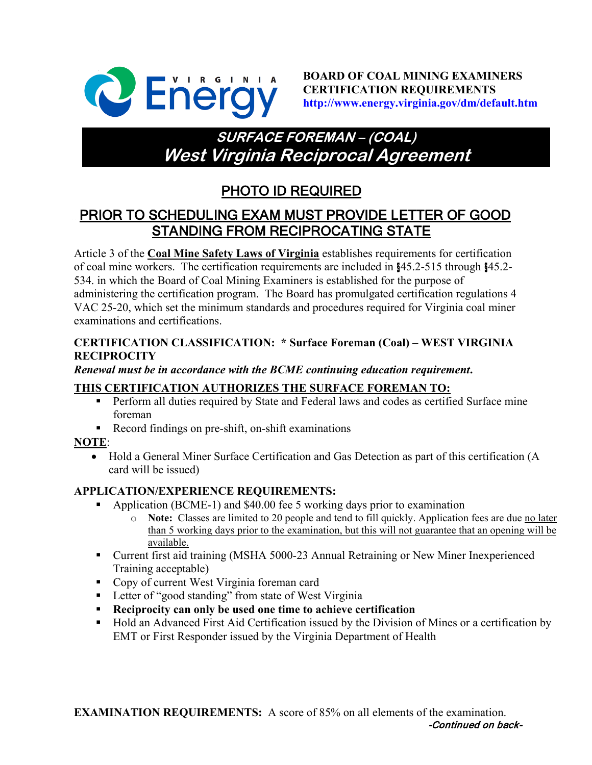

**BOARD OF COAL MINING EXAMINERS CERTIFICATION REQUIREMENTS http://www.energy.virginia.gov/dm/default.htm**

# **SURFACE FOREMAN – (COAL) West Virginia Reciprocal Agreement**

## PHOTO ID REQUIRED

## PRIOR TO SCHEDULING EXAM MUST PROVIDE LETTER OF GOOD STANDING FROM RECIPROCATING STATE

Article 3 of the **Coal Mine Safety Laws of Virginia** establishes requirements for certification of coal mine workers. The certification requirements are included in §45.2-515 through §45.2- 534. in which the Board of Coal Mining Examiners is established for the purpose of administering the certification program. The Board has promulgated certification regulations 4 VAC 25-20, which set the minimum standards and procedures required for Virginia coal miner examinations and certifications.

#### **CERTIFICATION CLASSIFICATION: \* Surface Foreman (Coal) – WEST VIRGINIA RECIPROCITY**

#### *Renewal must be in accordance with the BCME continuing education requirement***.**

### **THIS CERTIFICATION AUTHORIZES THE SURFACE FOREMAN TO:**

- **Perform all duties required by State and Federal laws and codes as certified Surface mine** foreman
- Record findings on pre-shift, on-shift examinations

### **NOTE**:

• Hold a General Miner Surface Certification and Gas Detection as part of this certification (A card will be issued)

### **APPLICATION/EXPERIENCE REQUIREMENTS:**

- Application (BCME-1) and \$40.00 fee 5 working days prior to examination
	- o **Note:** Classes are limited to 20 people and tend to fill quickly. Application fees are due no later than 5 working days prior to the examination, but this will not guarantee that an opening will be available.
- Current first aid training (MSHA 5000-23 Annual Retraining or New Miner Inexperienced Training acceptable)
- Copy of current West Virginia foreman card
- **Letter of "good standing" from state of West Virginia**
- **Reciprocity can only be used one time to achieve certification**
- Hold an Advanced First Aid Certification issued by the Division of Mines or a certification by EMT or First Responder issued by the Virginia Department of Health